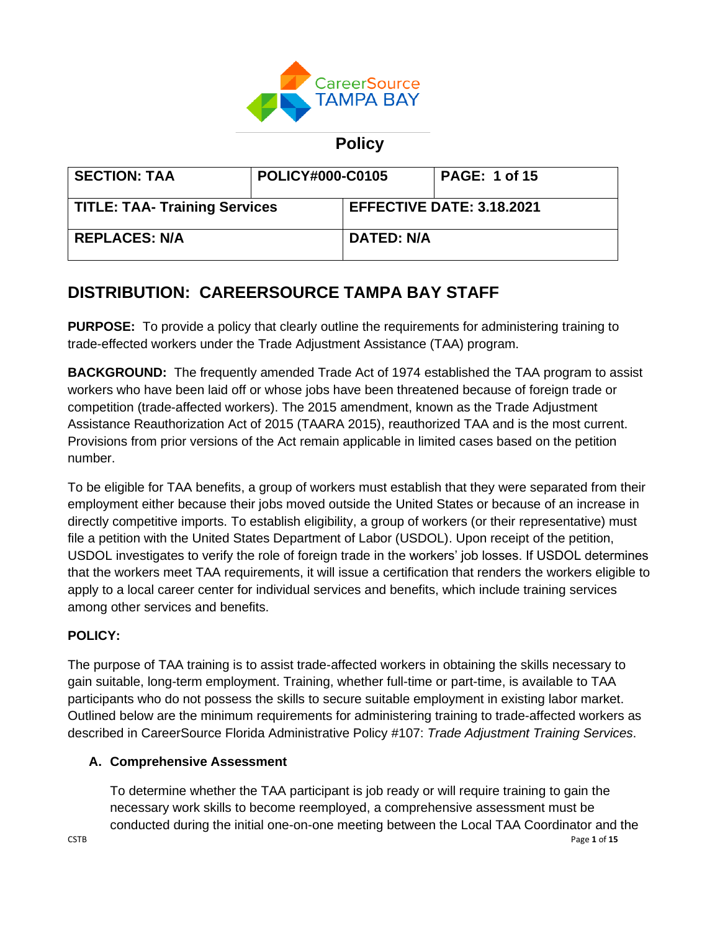

# **Policy**

| <b>SECTION: TAA</b>                  | POLICY#000-C0105 |                                  | <b>PAGE: 1 of 15</b> |
|--------------------------------------|------------------|----------------------------------|----------------------|
| <b>TITLE: TAA- Training Services</b> |                  | <b>EFFECTIVE DATE: 3.18.2021</b> |                      |
| <b>REPLACES: N/A</b>                 |                  | <b>DATED: N/A</b>                |                      |

# **DISTRIBUTION: CAREERSOURCE TAMPA BAY STAFF**

**PURPOSE:** To provide a policy that clearly outline the requirements for administering training to trade-effected workers under the Trade Adjustment Assistance (TAA) program.

**BACKGROUND:** The frequently amended Trade Act of 1974 established the TAA program to assist workers who have been laid off or whose jobs have been threatened because of foreign trade or competition (trade-affected workers). The 2015 amendment, known as the Trade Adjustment Assistance Reauthorization Act of 2015 (TAARA 2015), reauthorized TAA and is the most current. Provisions from prior versions of the Act remain applicable in limited cases based on the petition number.

To be eligible for TAA benefits, a group of workers must establish that they were separated from their employment either because their jobs moved outside the United States or because of an increase in directly competitive imports. To establish eligibility, a group of workers (or their representative) must file a petition with the United States Department of Labor (USDOL). Upon receipt of the petition, USDOL investigates to verify the role of foreign trade in the workers' job losses. If USDOL determines that the workers meet TAA requirements, it will issue a certification that renders the workers eligible to apply to a local career center for individual services and benefits, which include training services among other services and benefits.

# **POLICY:**

The purpose of TAA training is to assist trade-affected workers in obtaining the skills necessary to gain suitable, long-term employment. Training, whether full-time or part-time, is available to TAA participants who do not possess the skills to secure suitable employment in existing labor market. Outlined below are the minimum requirements for administering training to trade-affected workers as described in CareerSource Florida Administrative Policy #107: *Trade Adjustment Training Services*.

# **A. Comprehensive Assessment**

CSTB Page **1** of **15** To determine whether the TAA participant is job ready or will require training to gain the necessary work skills to become reemployed, a comprehensive assessment must be conducted during the initial one-on-one meeting between the Local TAA Coordinator and the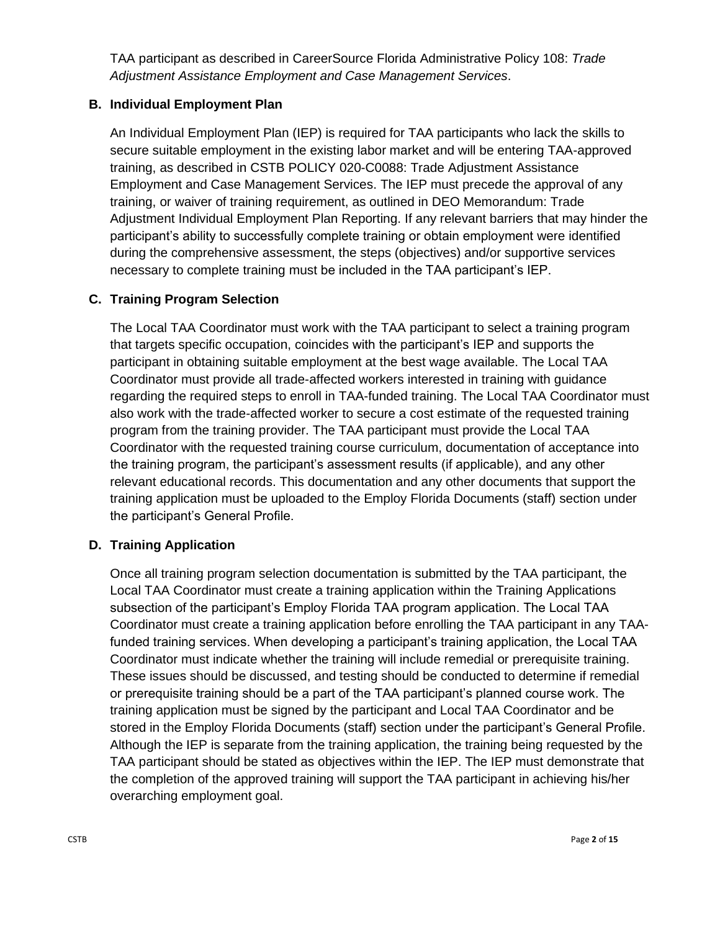TAA participant as described in CareerSource Florida Administrative Policy 108: *Trade Adjustment Assistance Employment and Case Management Services*.

# **B. Individual Employment Plan**

An Individual Employment Plan (IEP) is required for TAA participants who lack the skills to secure suitable employment in the existing labor market and will be entering TAA-approved training, as described in CSTB POLICY 020-C0088: Trade Adjustment Assistance Employment and Case Management Services. The IEP must precede the approval of any training, or waiver of training requirement, as outlined in DEO Memorandum: Trade Adjustment Individual Employment Plan Reporting. If any relevant barriers that may hinder the participant's ability to successfully complete training or obtain employment were identified during the comprehensive assessment, the steps (objectives) and/or supportive services necessary to complete training must be included in the TAA participant's IEP.

## **C. Training Program Selection**

The Local TAA Coordinator must work with the TAA participant to select a training program that targets specific occupation, coincides with the participant's IEP and supports the participant in obtaining suitable employment at the best wage available. The Local TAA Coordinator must provide all trade-affected workers interested in training with guidance regarding the required steps to enroll in TAA-funded training. The Local TAA Coordinator must also work with the trade-affected worker to secure a cost estimate of the requested training program from the training provider. The TAA participant must provide the Local TAA Coordinator with the requested training course curriculum, documentation of acceptance into the training program, the participant's assessment results (if applicable), and any other relevant educational records. This documentation and any other documents that support the training application must be uploaded to the Employ Florida Documents (staff) section under the participant's General Profile.

### **D. Training Application**

Once all training program selection documentation is submitted by the TAA participant, the Local TAA Coordinator must create a training application within the Training Applications subsection of the participant's Employ Florida TAA program application. The Local TAA Coordinator must create a training application before enrolling the TAA participant in any TAAfunded training services. When developing a participant's training application, the Local TAA Coordinator must indicate whether the training will include remedial or prerequisite training. These issues should be discussed, and testing should be conducted to determine if remedial or prerequisite training should be a part of the TAA participant's planned course work. The training application must be signed by the participant and Local TAA Coordinator and be stored in the Employ Florida Documents (staff) section under the participant's General Profile. Although the IEP is separate from the training application, the training being requested by the TAA participant should be stated as objectives within the IEP. The IEP must demonstrate that the completion of the approved training will support the TAA participant in achieving his/her overarching employment goal.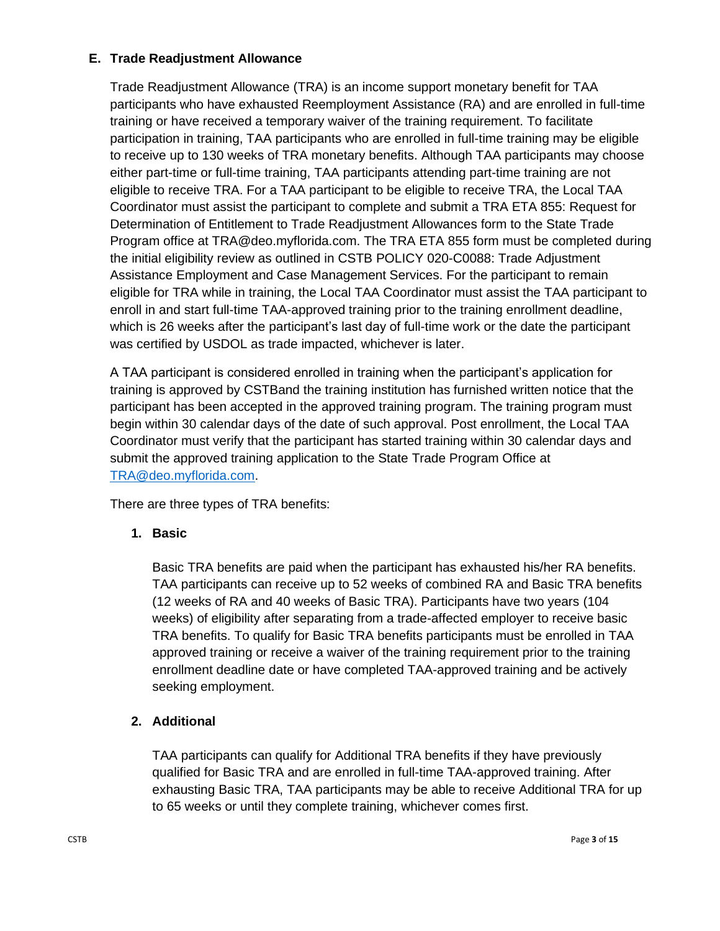# **E. Trade Readjustment Allowance**

Trade Readjustment Allowance (TRA) is an income support monetary benefit for TAA participants who have exhausted Reemployment Assistance (RA) and are enrolled in full-time training or have received a temporary waiver of the training requirement. To facilitate participation in training, TAA participants who are enrolled in full-time training may be eligible to receive up to 130 weeks of TRA monetary benefits. Although TAA participants may choose either part-time or full-time training, TAA participants attending part-time training are not eligible to receive TRA. For a TAA participant to be eligible to receive TRA, the Local TAA Coordinator must assist the participant to complete and submit a TRA ETA 855: Request for Determination of Entitlement to Trade Readjustment Allowances form to the State Trade Program office at TRA@deo.myflorida.com. The TRA ETA 855 form must be completed during the initial eligibility review as outlined in CSTB POLICY 020-C0088: Trade Adjustment Assistance Employment and Case Management Services. For the participant to remain eligible for TRA while in training, the Local TAA Coordinator must assist the TAA participant to enroll in and start full-time TAA-approved training prior to the training enrollment deadline, which is 26 weeks after the participant's last day of full-time work or the date the participant was certified by USDOL as trade impacted, whichever is later.

A TAA participant is considered enrolled in training when the participant's application for training is approved by CSTBand the training institution has furnished written notice that the participant has been accepted in the approved training program. The training program must begin within 30 calendar days of the date of such approval. Post enrollment, the Local TAA Coordinator must verify that the participant has started training within 30 calendar days and submit the approved training application to the State Trade Program Office at [TRA@deo.myflorida.com.](mailto:TRA@deo.myflorida.com)

There are three types of TRA benefits:

# **1. Basic**

Basic TRA benefits are paid when the participant has exhausted his/her RA benefits. TAA participants can receive up to 52 weeks of combined RA and Basic TRA benefits (12 weeks of RA and 40 weeks of Basic TRA). Participants have two years (104 weeks) of eligibility after separating from a trade-affected employer to receive basic TRA benefits. To qualify for Basic TRA benefits participants must be enrolled in TAA approved training or receive a waiver of the training requirement prior to the training enrollment deadline date or have completed TAA-approved training and be actively seeking employment.

# **2. Additional**

TAA participants can qualify for Additional TRA benefits if they have previously qualified for Basic TRA and are enrolled in full-time TAA-approved training. After exhausting Basic TRA, TAA participants may be able to receive Additional TRA for up to 65 weeks or until they complete training, whichever comes first.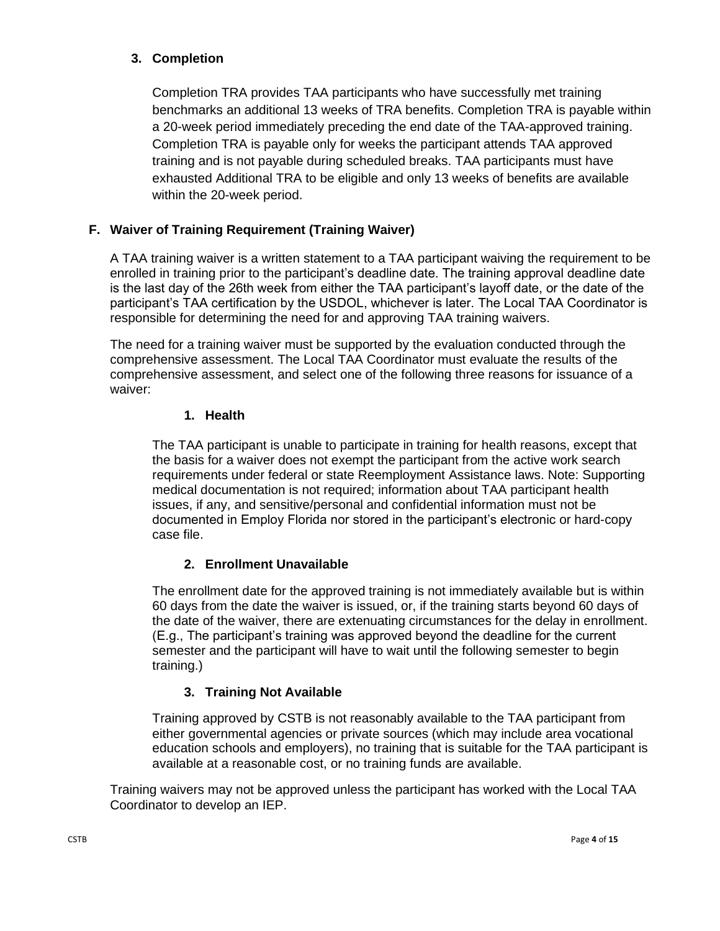# **3. Completion**

Completion TRA provides TAA participants who have successfully met training benchmarks an additional 13 weeks of TRA benefits. Completion TRA is payable within a 20-week period immediately preceding the end date of the TAA-approved training. Completion TRA is payable only for weeks the participant attends TAA approved training and is not payable during scheduled breaks. TAA participants must have exhausted Additional TRA to be eligible and only 13 weeks of benefits are available within the 20-week period.

# **F. Waiver of Training Requirement (Training Waiver)**

A TAA training waiver is a written statement to a TAA participant waiving the requirement to be enrolled in training prior to the participant's deadline date. The training approval deadline date is the last day of the 26th week from either the TAA participant's layoff date, or the date of the participant's TAA certification by the USDOL, whichever is later. The Local TAA Coordinator is responsible for determining the need for and approving TAA training waivers.

The need for a training waiver must be supported by the evaluation conducted through the comprehensive assessment. The Local TAA Coordinator must evaluate the results of the comprehensive assessment, and select one of the following three reasons for issuance of a waiver:

### **1. Health**

The TAA participant is unable to participate in training for health reasons, except that the basis for a waiver does not exempt the participant from the active work search requirements under federal or state Reemployment Assistance laws. Note: Supporting medical documentation is not required; information about TAA participant health issues, if any, and sensitive/personal and confidential information must not be documented in Employ Florida nor stored in the participant's electronic or hard-copy case file.

### **2. Enrollment Unavailable**

The enrollment date for the approved training is not immediately available but is within 60 days from the date the waiver is issued, or, if the training starts beyond 60 days of the date of the waiver, there are extenuating circumstances for the delay in enrollment. (E.g., The participant's training was approved beyond the deadline for the current semester and the participant will have to wait until the following semester to begin training.)

# **3. Training Not Available**

Training approved by CSTB is not reasonably available to the TAA participant from either governmental agencies or private sources (which may include area vocational education schools and employers), no training that is suitable for the TAA participant is available at a reasonable cost, or no training funds are available.

Training waivers may not be approved unless the participant has worked with the Local TAA Coordinator to develop an IEP.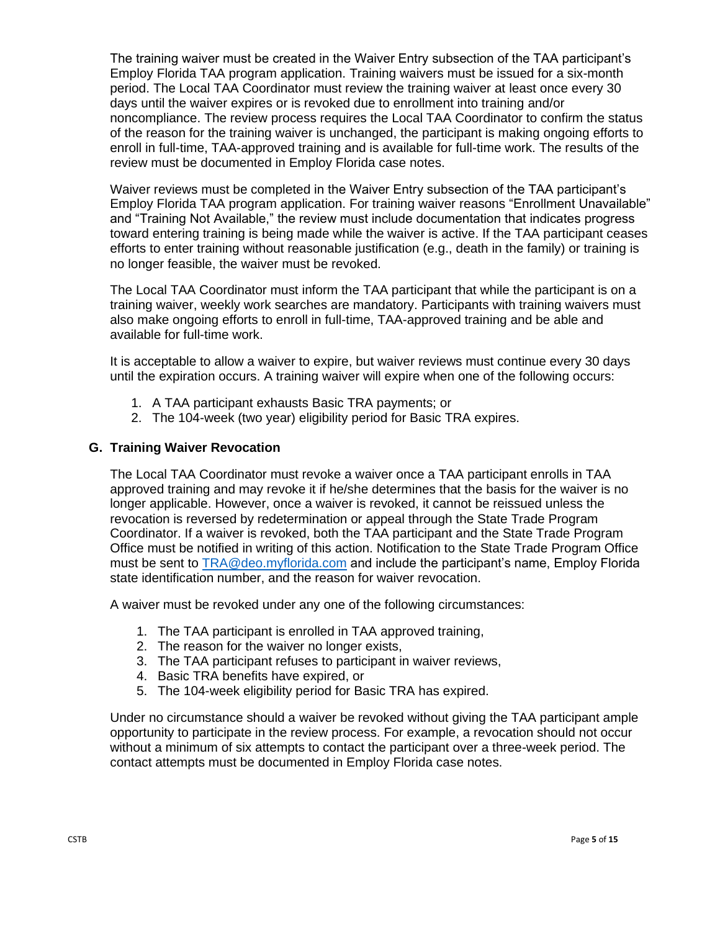The training waiver must be created in the Waiver Entry subsection of the TAA participant's Employ Florida TAA program application. Training waivers must be issued for a six-month period. The Local TAA Coordinator must review the training waiver at least once every 30 days until the waiver expires or is revoked due to enrollment into training and/or noncompliance. The review process requires the Local TAA Coordinator to confirm the status of the reason for the training waiver is unchanged, the participant is making ongoing efforts to enroll in full-time, TAA-approved training and is available for full-time work. The results of the review must be documented in Employ Florida case notes.

Waiver reviews must be completed in the Waiver Entry subsection of the TAA participant's Employ Florida TAA program application. For training waiver reasons "Enrollment Unavailable" and "Training Not Available," the review must include documentation that indicates progress toward entering training is being made while the waiver is active. If the TAA participant ceases efforts to enter training without reasonable justification (e.g., death in the family) or training is no longer feasible, the waiver must be revoked.

The Local TAA Coordinator must inform the TAA participant that while the participant is on a training waiver, weekly work searches are mandatory. Participants with training waivers must also make ongoing efforts to enroll in full-time, TAA-approved training and be able and available for full-time work.

It is acceptable to allow a waiver to expire, but waiver reviews must continue every 30 days until the expiration occurs. A training waiver will expire when one of the following occurs:

- 1. A TAA participant exhausts Basic TRA payments; or
- 2. The 104-week (two year) eligibility period for Basic TRA expires.

#### **G. Training Waiver Revocation**

The Local TAA Coordinator must revoke a waiver once a TAA participant enrolls in TAA approved training and may revoke it if he/she determines that the basis for the waiver is no longer applicable. However, once a waiver is revoked, it cannot be reissued unless the revocation is reversed by redetermination or appeal through the State Trade Program Coordinator. If a waiver is revoked, both the TAA participant and the State Trade Program Office must be notified in writing of this action. Notification to the State Trade Program Office must be sent to [TRA@deo.myflorida.com](mailto:TRA@deo.myflorida.com) and include the participant's name, Employ Florida state identification number, and the reason for waiver revocation.

A waiver must be revoked under any one of the following circumstances:

- 1. The TAA participant is enrolled in TAA approved training,
- 2. The reason for the waiver no longer exists,
- 3. The TAA participant refuses to participant in waiver reviews,
- 4. Basic TRA benefits have expired, or
- 5. The 104-week eligibility period for Basic TRA has expired.

Under no circumstance should a waiver be revoked without giving the TAA participant ample opportunity to participate in the review process. For example, a revocation should not occur without a minimum of six attempts to contact the participant over a three-week period. The contact attempts must be documented in Employ Florida case notes.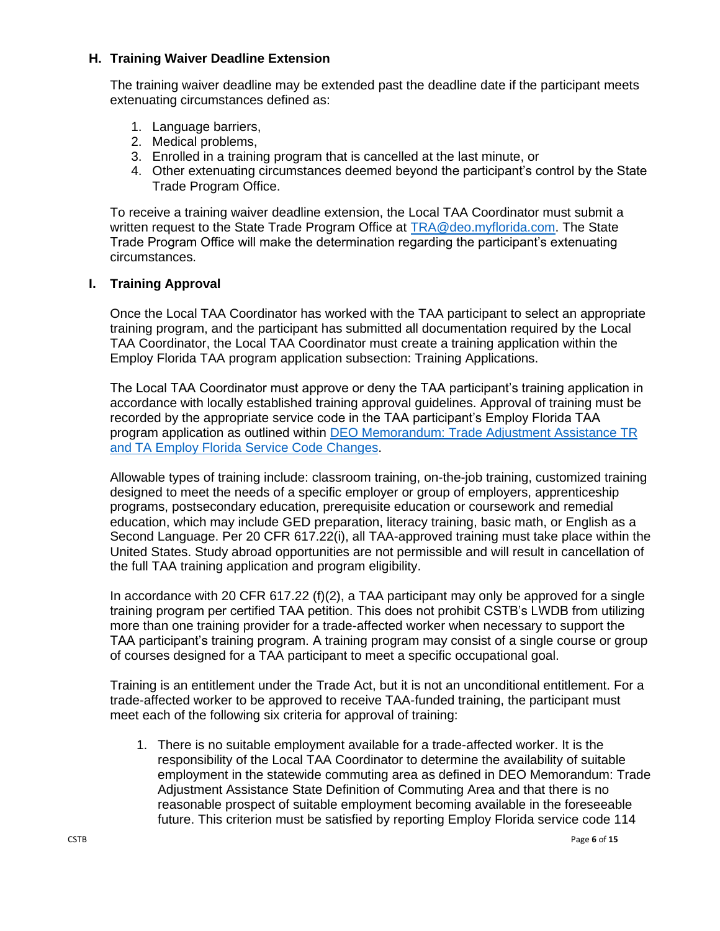### **H. Training Waiver Deadline Extension**

The training waiver deadline may be extended past the deadline date if the participant meets extenuating circumstances defined as:

- 1. Language barriers,
- 2. Medical problems,
- 3. Enrolled in a training program that is cancelled at the last minute, or
- 4. Other extenuating circumstances deemed beyond the participant's control by the State Trade Program Office.

To receive a training waiver deadline extension, the Local TAA Coordinator must submit a written request to the State Trade Program Office at [TRA@deo.myflorida.com.](mailto:TRA@deo.myflorida.com) The State Trade Program Office will make the determination regarding the participant's extenuating circumstances.

#### **I. Training Approval**

Once the Local TAA Coordinator has worked with the TAA participant to select an appropriate training program, and the participant has submitted all documentation required by the Local TAA Coordinator, the Local TAA Coordinator must create a training application within the Employ Florida TAA program application subsection: Training Applications.

The Local TAA Coordinator must approve or deny the TAA participant's training application in accordance with locally established training approval guidelines. Approval of training must be recorded by the appropriate service code in the TAA participant's Employ Florida TAA program application as outlined within [DEO Memorandum: Trade Adjustment Assistance TR](http://floridajobs.org/docs/default-source/lwdb-resources/policy-and-guidance/memos/2019-memoranda/memo_taa-ta1andtr0-employflsvccodechanges.pdf?sfvrsn=6)  [and TA Employ Florida Service Code Changes.](http://floridajobs.org/docs/default-source/lwdb-resources/policy-and-guidance/memos/2019-memoranda/memo_taa-ta1andtr0-employflsvccodechanges.pdf?sfvrsn=6)

Allowable types of training include: classroom training, on-the-job training, customized training designed to meet the needs of a specific employer or group of employers, apprenticeship programs, postsecondary education, prerequisite education or coursework and remedial education, which may include GED preparation, literacy training, basic math, or English as a Second Language. Per 20 CFR 617.22(i), all TAA-approved training must take place within the United States. Study abroad opportunities are not permissible and will result in cancellation of the full TAA training application and program eligibility.

In accordance with 20 CFR 617.22 (f)(2), a TAA participant may only be approved for a single training program per certified TAA petition. This does not prohibit CSTB's LWDB from utilizing more than one training provider for a trade-affected worker when necessary to support the TAA participant's training program. A training program may consist of a single course or group of courses designed for a TAA participant to meet a specific occupational goal.

Training is an entitlement under the Trade Act, but it is not an unconditional entitlement. For a trade-affected worker to be approved to receive TAA-funded training, the participant must meet each of the following six criteria for approval of training:

1. There is no suitable employment available for a trade-affected worker. It is the responsibility of the Local TAA Coordinator to determine the availability of suitable employment in the statewide commuting area as defined in DEO Memorandum: Trade Adjustment Assistance State Definition of Commuting Area and that there is no reasonable prospect of suitable employment becoming available in the foreseeable future. This criterion must be satisfied by reporting Employ Florida service code 114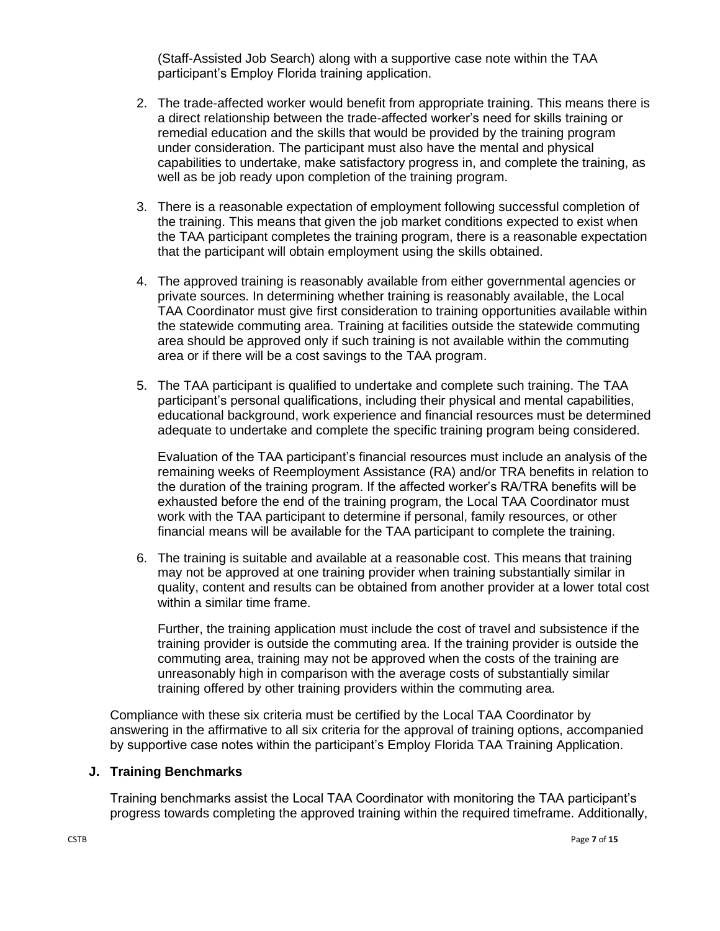(Staff-Assisted Job Search) along with a supportive case note within the TAA participant's Employ Florida training application.

- 2. The trade-affected worker would benefit from appropriate training. This means there is a direct relationship between the trade-affected worker's need for skills training or remedial education and the skills that would be provided by the training program under consideration. The participant must also have the mental and physical capabilities to undertake, make satisfactory progress in, and complete the training, as well as be job ready upon completion of the training program.
- 3. There is a reasonable expectation of employment following successful completion of the training. This means that given the job market conditions expected to exist when the TAA participant completes the training program, there is a reasonable expectation that the participant will obtain employment using the skills obtained.
- 4. The approved training is reasonably available from either governmental agencies or private sources. In determining whether training is reasonably available, the Local TAA Coordinator must give first consideration to training opportunities available within the statewide commuting area. Training at facilities outside the statewide commuting area should be approved only if such training is not available within the commuting area or if there will be a cost savings to the TAA program.
- 5. The TAA participant is qualified to undertake and complete such training. The TAA participant's personal qualifications, including their physical and mental capabilities, educational background, work experience and financial resources must be determined adequate to undertake and complete the specific training program being considered.

Evaluation of the TAA participant's financial resources must include an analysis of the remaining weeks of Reemployment Assistance (RA) and/or TRA benefits in relation to the duration of the training program. If the affected worker's RA/TRA benefits will be exhausted before the end of the training program, the Local TAA Coordinator must work with the TAA participant to determine if personal, family resources, or other financial means will be available for the TAA participant to complete the training.

6. The training is suitable and available at a reasonable cost. This means that training may not be approved at one training provider when training substantially similar in quality, content and results can be obtained from another provider at a lower total cost within a similar time frame.

Further, the training application must include the cost of travel and subsistence if the training provider is outside the commuting area. If the training provider is outside the commuting area, training may not be approved when the costs of the training are unreasonably high in comparison with the average costs of substantially similar training offered by other training providers within the commuting area.

Compliance with these six criteria must be certified by the Local TAA Coordinator by answering in the affirmative to all six criteria for the approval of training options, accompanied by supportive case notes within the participant's Employ Florida TAA Training Application.

#### **J. Training Benchmarks**

Training benchmarks assist the Local TAA Coordinator with monitoring the TAA participant's progress towards completing the approved training within the required timeframe. Additionally,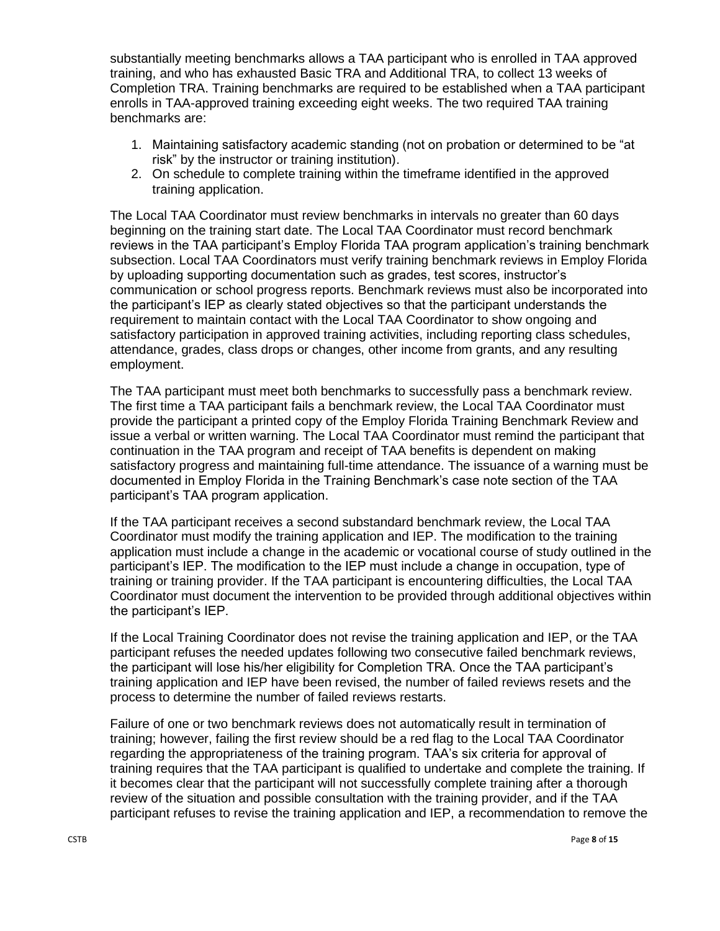substantially meeting benchmarks allows a TAA participant who is enrolled in TAA approved training, and who has exhausted Basic TRA and Additional TRA, to collect 13 weeks of Completion TRA. Training benchmarks are required to be established when a TAA participant enrolls in TAA-approved training exceeding eight weeks. The two required TAA training benchmarks are:

- 1. Maintaining satisfactory academic standing (not on probation or determined to be "at risk" by the instructor or training institution).
- 2. On schedule to complete training within the timeframe identified in the approved training application.

The Local TAA Coordinator must review benchmarks in intervals no greater than 60 days beginning on the training start date. The Local TAA Coordinator must record benchmark reviews in the TAA participant's Employ Florida TAA program application's training benchmark subsection. Local TAA Coordinators must verify training benchmark reviews in Employ Florida by uploading supporting documentation such as grades, test scores, instructor's communication or school progress reports. Benchmark reviews must also be incorporated into the participant's IEP as clearly stated objectives so that the participant understands the requirement to maintain contact with the Local TAA Coordinator to show ongoing and satisfactory participation in approved training activities, including reporting class schedules, attendance, grades, class drops or changes, other income from grants, and any resulting employment.

The TAA participant must meet both benchmarks to successfully pass a benchmark review. The first time a TAA participant fails a benchmark review, the Local TAA Coordinator must provide the participant a printed copy of the Employ Florida Training Benchmark Review and issue a verbal or written warning. The Local TAA Coordinator must remind the participant that continuation in the TAA program and receipt of TAA benefits is dependent on making satisfactory progress and maintaining full-time attendance. The issuance of a warning must be documented in Employ Florida in the Training Benchmark's case note section of the TAA participant's TAA program application.

If the TAA participant receives a second substandard benchmark review, the Local TAA Coordinator must modify the training application and IEP. The modification to the training application must include a change in the academic or vocational course of study outlined in the participant's IEP. The modification to the IEP must include a change in occupation, type of training or training provider. If the TAA participant is encountering difficulties, the Local TAA Coordinator must document the intervention to be provided through additional objectives within the participant's IEP.

If the Local Training Coordinator does not revise the training application and IEP, or the TAA participant refuses the needed updates following two consecutive failed benchmark reviews, the participant will lose his/her eligibility for Completion TRA. Once the TAA participant's training application and IEP have been revised, the number of failed reviews resets and the process to determine the number of failed reviews restarts.

Failure of one or two benchmark reviews does not automatically result in termination of training; however, failing the first review should be a red flag to the Local TAA Coordinator regarding the appropriateness of the training program. TAA's six criteria for approval of training requires that the TAA participant is qualified to undertake and complete the training. If it becomes clear that the participant will not successfully complete training after a thorough review of the situation and possible consultation with the training provider, and if the TAA participant refuses to revise the training application and IEP, a recommendation to remove the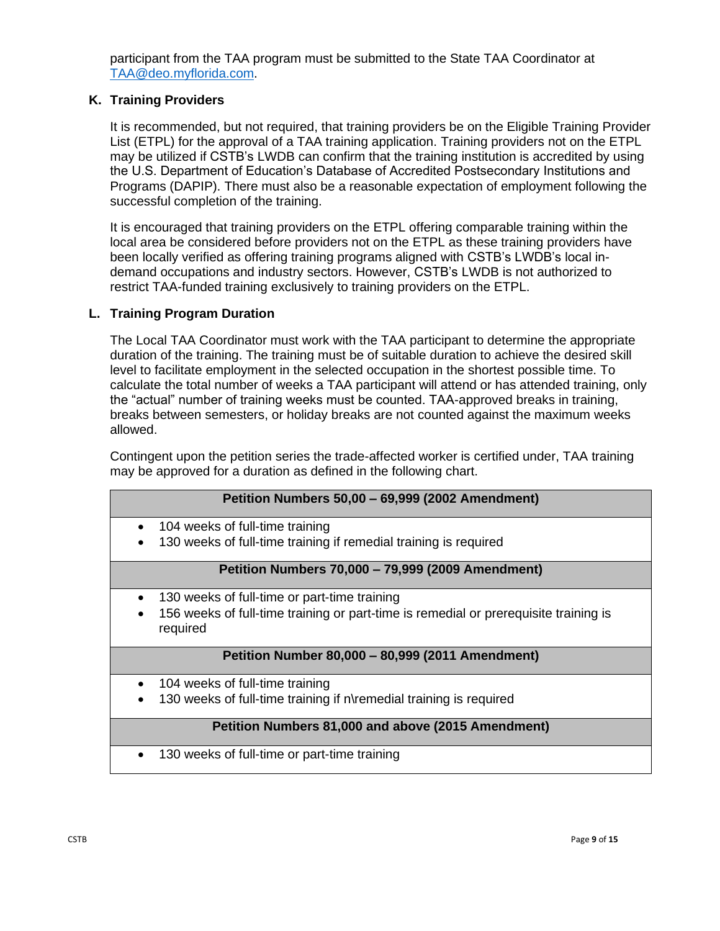participant from the TAA program must be submitted to the State TAA Coordinator at [TAA@deo.myflorida.com.](mailto:TAA@deo.myflorida.com)

### **K. Training Providers**

It is recommended, but not required, that training providers be on the Eligible Training Provider List (ETPL) for the approval of a TAA training application. Training providers not on the ETPL may be utilized if CSTB's LWDB can confirm that the training institution is accredited by using the U.S. Department of Education's Database of Accredited Postsecondary Institutions and Programs (DAPIP). There must also be a reasonable expectation of employment following the successful completion of the training.

It is encouraged that training providers on the ETPL offering comparable training within the local area be considered before providers not on the ETPL as these training providers have been locally verified as offering training programs aligned with CSTB's LWDB's local indemand occupations and industry sectors. However, CSTB's LWDB is not authorized to restrict TAA-funded training exclusively to training providers on the ETPL.

### **L. Training Program Duration**

The Local TAA Coordinator must work with the TAA participant to determine the appropriate duration of the training. The training must be of suitable duration to achieve the desired skill level to facilitate employment in the selected occupation in the shortest possible time. To calculate the total number of weeks a TAA participant will attend or has attended training, only the "actual" number of training weeks must be counted. TAA-approved breaks in training, breaks between semesters, or holiday breaks are not counted against the maximum weeks allowed.

Contingent upon the petition series the trade-affected worker is certified under, TAA training may be approved for a duration as defined in the following chart.

| Petition Numbers 50,00 - 69,999 (2002 Amendment)                                                 |  |  |
|--------------------------------------------------------------------------------------------------|--|--|
| 104 weeks of full-time training<br>٠                                                             |  |  |
| 130 weeks of full-time training if remedial training is required                                 |  |  |
| Petition Numbers 70,000 - 79,999 (2009 Amendment)                                                |  |  |
| 130 weeks of full-time or part-time training                                                     |  |  |
| 156 weeks of full-time training or part-time is remedial or prerequisite training is<br>required |  |  |
| Petition Number 80,000 - 80,999 (2011 Amendment)                                                 |  |  |
| 104 weeks of full-time training                                                                  |  |  |
| 130 weeks of full-time training if n\remedial training is required                               |  |  |
| Petition Numbers 81,000 and above (2015 Amendment)                                               |  |  |
| 130 weeks of full-time or part-time training                                                     |  |  |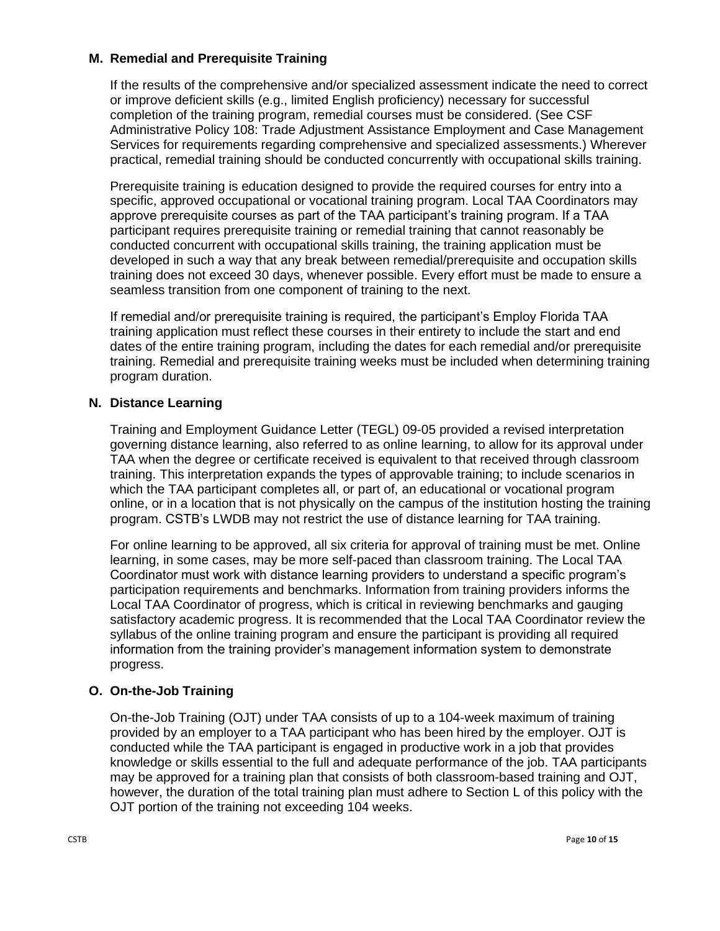### **M. Remedial and Prerequisite Training**

If the results of the comprehensive and/or specialized assessment indicate the need to correct or improve deficient skills (e.g., limited English proficiency) necessary for successful completion of the training program, remedial courses must be considered. (See CSF Administrative Policy 108: Trade Adjustment Assistance Employment and Case Management Services for requirements regarding comprehensive and specialized assessments.) Wherever practical, remedial training should be conducted concurrently with occupational skills training.

Prerequisite training is education designed to provide the required courses for entry into a specific, approved occupational or vocational training program. Local TAA Coordinators may approve prerequisite courses as part of the TAA participant's training program. If a TAA participant requires prerequisite training or remedial training that cannot reasonably be conducted concurrent with occupational skills training, the training application must be developed in such a way that any break between remedial/prerequisite and occupation skills training does not exceed 30 days, whenever possible. Every effort must be made to ensure a seamless transition from one component of training to the next.

If remedial and/or prerequisite training is required, the participant's Employ Florida TAA training application must reflect these courses in their entirety to include the start and end dates of the entire training program, including the dates for each remedial and/or prerequisite training. Remedial and prerequisite training weeks must be included when determining training program duration.

## **N. Distance Learning**

Training and Employment Guidance Letter (TEGL) 09-05 provided a revised interpretation governing distance learning, also referred to as online learning, to allow for its approval under TAA when the degree or certificate received is equivalent to that received through classroom training. This interpretation expands the types of approvable training; to include scenarios in which the TAA participant completes all, or part of, an educational or vocational program online, or in a location that is not physically on the campus of the institution hosting the training program. CSTB's LWDB may not restrict the use of distance learning for TAA training.

For online learning to be approved, all six criteria for approval of training must be met. Online learning, in some cases, may be more self-paced than classroom training. The Local TAA Coordinator must work with distance learning providers to understand a specific program's participation requirements and benchmarks. Information from training providers informs the Local TAA Coordinator of progress, which is critical in reviewing benchmarks and gauging satisfactory academic progress. It is recommended that the Local TAA Coordinator review the syllabus of the online training program and ensure the participant is providing all required information from the training provider's management information system to demonstrate progress.

# **O. On-the-Job Training**

On-the-Job Training (OJT) under TAA consists of up to a 104-week maximum of training provided by an employer to a TAA participant who has been hired by the employer. OJT is conducted while the TAA participant is engaged in productive work in a job that provides knowledge or skills essential to the full and adequate performance of the job. TAA participants may be approved for a training plan that consists of both classroom-based training and OJT, however, the duration of the total training plan must adhere to Section L of this policy with the OJT portion of the training not exceeding 104 weeks.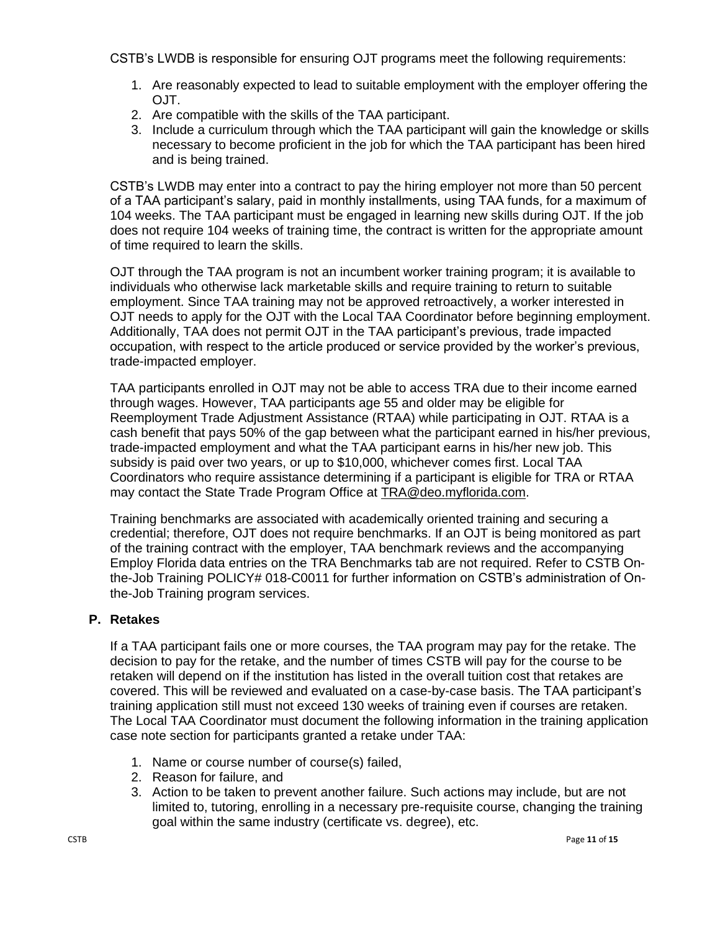CSTB's LWDB is responsible for ensuring OJT programs meet the following requirements:

- 1. Are reasonably expected to lead to suitable employment with the employer offering the  $O$ JT.
- 2. Are compatible with the skills of the TAA participant.
- 3. Include a curriculum through which the TAA participant will gain the knowledge or skills necessary to become proficient in the job for which the TAA participant has been hired and is being trained.

CSTB's LWDB may enter into a contract to pay the hiring employer not more than 50 percent of a TAA participant's salary, paid in monthly installments, using TAA funds, for a maximum of 104 weeks. The TAA participant must be engaged in learning new skills during OJT. If the job does not require 104 weeks of training time, the contract is written for the appropriate amount of time required to learn the skills.

OJT through the TAA program is not an incumbent worker training program; it is available to individuals who otherwise lack marketable skills and require training to return to suitable employment. Since TAA training may not be approved retroactively, a worker interested in OJT needs to apply for the OJT with the Local TAA Coordinator before beginning employment. Additionally, TAA does not permit OJT in the TAA participant's previous, trade impacted occupation, with respect to the article produced or service provided by the worker's previous, trade-impacted employer.

TAA participants enrolled in OJT may not be able to access TRA due to their income earned through wages. However, TAA participants age 55 and older may be eligible for Reemployment Trade Adjustment Assistance (RTAA) while participating in OJT. RTAA is a cash benefit that pays 50% of the gap between what the participant earned in his/her previous, trade-impacted employment and what the TAA participant earns in his/her new job. This subsidy is paid over two years, or up to \$10,000, whichever comes first. Local TAA Coordinators who require assistance determining if a participant is eligible for TRA or RTAA may contact the State Trade Program Office at [TRA@deo.myflorida.com.](mailto:TRA@deo.myflorida.com)

Training benchmarks are associated with academically oriented training and securing a credential; therefore, OJT does not require benchmarks. If an OJT is being monitored as part of the training contract with the employer, TAA benchmark reviews and the accompanying Employ Florida data entries on the TRA Benchmarks tab are not required. Refer to CSTB Onthe-Job Training POLICY# 018-C0011 for further information on CSTB's administration of Onthe-Job Training program services.

# **P. Retakes**

If a TAA participant fails one or more courses, the TAA program may pay for the retake. The decision to pay for the retake, and the number of times CSTB will pay for the course to be retaken will depend on if the institution has listed in the overall tuition cost that retakes are covered. This will be reviewed and evaluated on a case-by-case basis. The TAA participant's training application still must not exceed 130 weeks of training even if courses are retaken. The Local TAA Coordinator must document the following information in the training application case note section for participants granted a retake under TAA:

- 1. Name or course number of course(s) failed,
- 2. Reason for failure, and
- 3. Action to be taken to prevent another failure. Such actions may include, but are not limited to, tutoring, enrolling in a necessary pre-requisite course, changing the training goal within the same industry (certificate vs. degree), etc.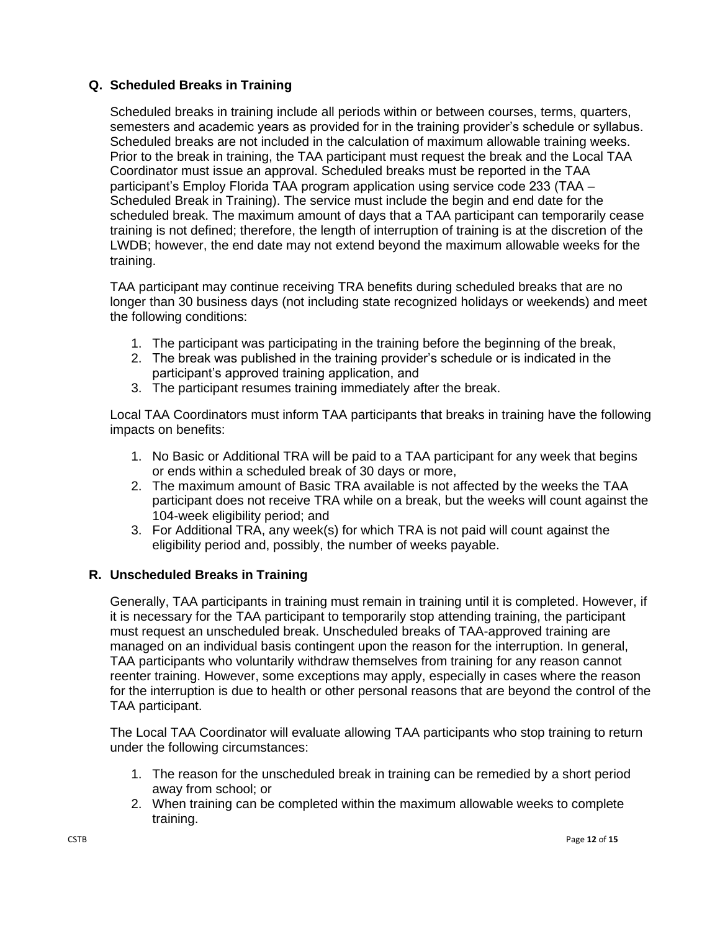### **Q. Scheduled Breaks in Training**

Scheduled breaks in training include all periods within or between courses, terms, quarters, semesters and academic years as provided for in the training provider's schedule or syllabus. Scheduled breaks are not included in the calculation of maximum allowable training weeks. Prior to the break in training, the TAA participant must request the break and the Local TAA Coordinator must issue an approval. Scheduled breaks must be reported in the TAA participant's Employ Florida TAA program application using service code 233 (TAA – Scheduled Break in Training). The service must include the begin and end date for the scheduled break. The maximum amount of days that a TAA participant can temporarily cease training is not defined; therefore, the length of interruption of training is at the discretion of the LWDB; however, the end date may not extend beyond the maximum allowable weeks for the training.

TAA participant may continue receiving TRA benefits during scheduled breaks that are no longer than 30 business days (not including state recognized holidays or weekends) and meet the following conditions:

- 1. The participant was participating in the training before the beginning of the break,
- 2. The break was published in the training provider's schedule or is indicated in the participant's approved training application, and
- 3. The participant resumes training immediately after the break.

Local TAA Coordinators must inform TAA participants that breaks in training have the following impacts on benefits:

- 1. No Basic or Additional TRA will be paid to a TAA participant for any week that begins or ends within a scheduled break of 30 days or more,
- 2. The maximum amount of Basic TRA available is not affected by the weeks the TAA participant does not receive TRA while on a break, but the weeks will count against the 104-week eligibility period; and
- 3. For Additional TRA, any week(s) for which TRA is not paid will count against the eligibility period and, possibly, the number of weeks payable.

### **R. Unscheduled Breaks in Training**

Generally, TAA participants in training must remain in training until it is completed. However, if it is necessary for the TAA participant to temporarily stop attending training, the participant must request an unscheduled break. Unscheduled breaks of TAA-approved training are managed on an individual basis contingent upon the reason for the interruption. In general, TAA participants who voluntarily withdraw themselves from training for any reason cannot reenter training. However, some exceptions may apply, especially in cases where the reason for the interruption is due to health or other personal reasons that are beyond the control of the TAA participant.

The Local TAA Coordinator will evaluate allowing TAA participants who stop training to return under the following circumstances:

- 1. The reason for the unscheduled break in training can be remedied by a short period away from school; or
- 2. When training can be completed within the maximum allowable weeks to complete training.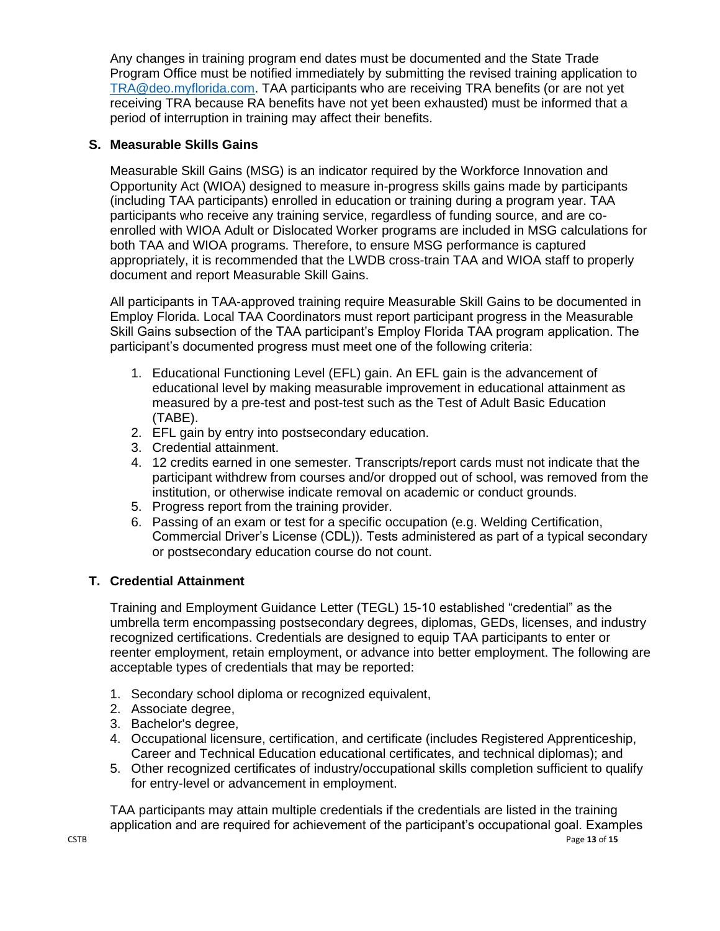Any changes in training program end dates must be documented and the State Trade Program Office must be notified immediately by submitting the revised training application to [TRA@deo.myflorida.com.](mailto:TRA@deo.myflorida.com) TAA participants who are receiving TRA benefits (or are not yet receiving TRA because RA benefits have not yet been exhausted) must be informed that a period of interruption in training may affect their benefits.

## **S. Measurable Skills Gains**

Measurable Skill Gains (MSG) is an indicator required by the Workforce Innovation and Opportunity Act (WIOA) designed to measure in-progress skills gains made by participants (including TAA participants) enrolled in education or training during a program year. TAA participants who receive any training service, regardless of funding source, and are coenrolled with WIOA Adult or Dislocated Worker programs are included in MSG calculations for both TAA and WIOA programs. Therefore, to ensure MSG performance is captured appropriately, it is recommended that the LWDB cross-train TAA and WIOA staff to properly document and report Measurable Skill Gains.

All participants in TAA-approved training require Measurable Skill Gains to be documented in Employ Florida. Local TAA Coordinators must report participant progress in the Measurable Skill Gains subsection of the TAA participant's Employ Florida TAA program application. The participant's documented progress must meet one of the following criteria:

- 1. Educational Functioning Level (EFL) gain. An EFL gain is the advancement of educational level by making measurable improvement in educational attainment as measured by a pre-test and post-test such as the Test of Adult Basic Education (TABE).
- 2. EFL gain by entry into postsecondary education.
- 3. Credential attainment.
- 4. 12 credits earned in one semester. Transcripts/report cards must not indicate that the participant withdrew from courses and/or dropped out of school, was removed from the institution, or otherwise indicate removal on academic or conduct grounds.
- 5. Progress report from the training provider.
- 6. Passing of an exam or test for a specific occupation (e.g. Welding Certification, Commercial Driver's License (CDL)). Tests administered as part of a typical secondary or postsecondary education course do not count.

### **T. Credential Attainment**

Training and Employment Guidance Letter (TEGL) 15-10 established "credential" as the umbrella term encompassing postsecondary degrees, diplomas, GEDs, licenses, and industry recognized certifications. Credentials are designed to equip TAA participants to enter or reenter employment, retain employment, or advance into better employment. The following are acceptable types of credentials that may be reported:

- 1. Secondary school diploma or recognized equivalent,
- 2. Associate degree,
- 3. Bachelor's degree,
- 4. Occupational licensure, certification, and certificate (includes Registered Apprenticeship, Career and Technical Education educational certificates, and technical diplomas); and
- 5. Other recognized certificates of industry/occupational skills completion sufficient to qualify for entry-level or advancement in employment.

TAA participants may attain multiple credentials if the credentials are listed in the training application and are required for achievement of the participant's occupational goal. Examples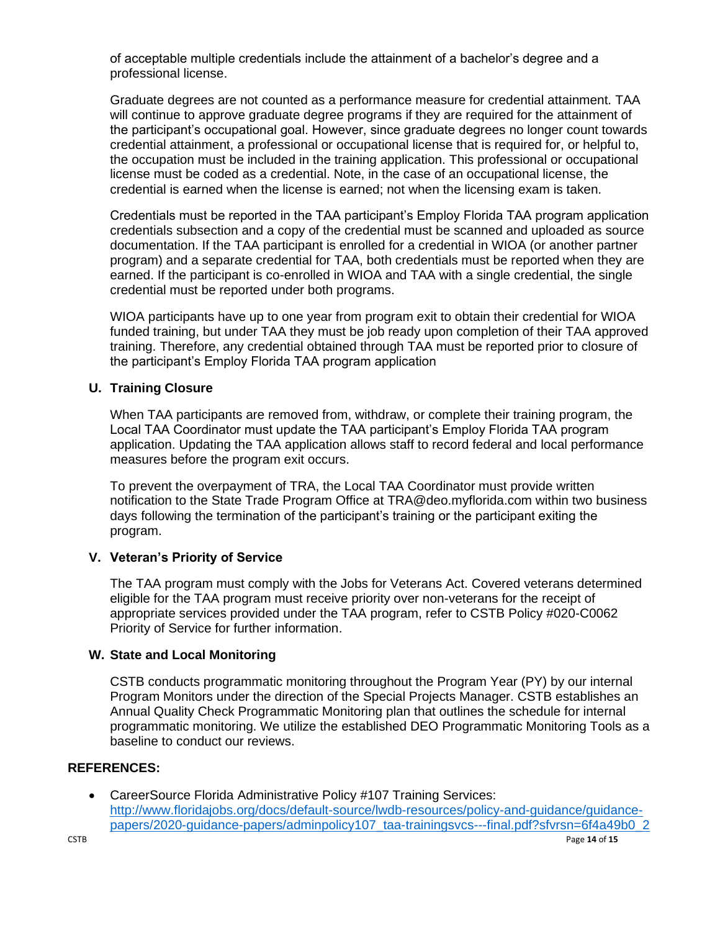of acceptable multiple credentials include the attainment of a bachelor's degree and a professional license.

Graduate degrees are not counted as a performance measure for credential attainment. TAA will continue to approve graduate degree programs if they are required for the attainment of the participant's occupational goal. However, since graduate degrees no longer count towards credential attainment, a professional or occupational license that is required for, or helpful to, the occupation must be included in the training application. This professional or occupational license must be coded as a credential. Note, in the case of an occupational license, the credential is earned when the license is earned; not when the licensing exam is taken.

Credentials must be reported in the TAA participant's Employ Florida TAA program application credentials subsection and a copy of the credential must be scanned and uploaded as source documentation. If the TAA participant is enrolled for a credential in WIOA (or another partner program) and a separate credential for TAA, both credentials must be reported when they are earned. If the participant is co-enrolled in WIOA and TAA with a single credential, the single credential must be reported under both programs.

WIOA participants have up to one year from program exit to obtain their credential for WIOA funded training, but under TAA they must be job ready upon completion of their TAA approved training. Therefore, any credential obtained through TAA must be reported prior to closure of the participant's Employ Florida TAA program application

### **U. Training Closure**

When TAA participants are removed from, withdraw, or complete their training program, the Local TAA Coordinator must update the TAA participant's Employ Florida TAA program application. Updating the TAA application allows staff to record federal and local performance measures before the program exit occurs.

To prevent the overpayment of TRA, the Local TAA Coordinator must provide written notification to the State Trade Program Office at TRA@deo.myflorida.com within two business days following the termination of the participant's training or the participant exiting the program.

### **V. Veteran's Priority of Service**

The TAA program must comply with the Jobs for Veterans Act. Covered veterans determined eligible for the TAA program must receive priority over non-veterans for the receipt of appropriate services provided under the TAA program, refer to CSTB Policy #020-C0062 Priority of Service for further information.

#### **W. State and Local Monitoring**

CSTB conducts programmatic monitoring throughout the Program Year (PY) by our internal Program Monitors under the direction of the Special Projects Manager. CSTB establishes an Annual Quality Check Programmatic Monitoring plan that outlines the schedule for internal programmatic monitoring. We utilize the established DEO Programmatic Monitoring Tools as a baseline to conduct our reviews.

#### **REFERENCES:**

• CareerSource Florida Administrative Policy #107 Training Services: [http://www.floridajobs.org/docs/default-source/lwdb-resources/policy-and-guidance/guidance](http://www.floridajobs.org/docs/default-source/lwdb-resources/policy-and-guidance/guidance-papers/2020-guidance-papers/adminpolicy107_taa-trainingsvcs---final.pdf?sfvrsn=6f4a49b0_2)[papers/2020-guidance-papers/adminpolicy107\\_taa-trainingsvcs---final.pdf?sfvrsn=6f4a49b0\\_2](http://www.floridajobs.org/docs/default-source/lwdb-resources/policy-and-guidance/guidance-papers/2020-guidance-papers/adminpolicy107_taa-trainingsvcs---final.pdf?sfvrsn=6f4a49b0_2)